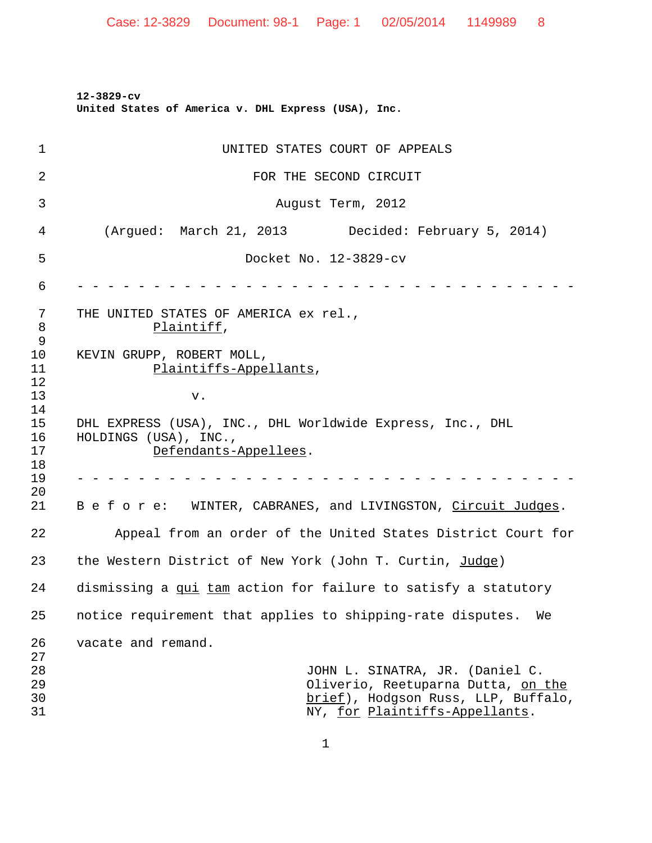**12-3829-cv United States of America v. DHL Express (USA), Inc.**

| 1                     | UNITED STATES COURT OF APPEALS                                                                                                                 |
|-----------------------|------------------------------------------------------------------------------------------------------------------------------------------------|
| 2                     | FOR THE SECOND CIRCUIT                                                                                                                         |
| 3                     | August Term, 2012                                                                                                                              |
| 4                     | (Argued: March 21, 2013 Decided: February 5, 2014)                                                                                             |
| 5                     | Docket No. 12-3829-cv                                                                                                                          |
| 6                     |                                                                                                                                                |
| 7<br>8<br>$\mathsf 9$ | THE UNITED STATES OF AMERICA ex rel.,<br>Plaintiff,                                                                                            |
| 10<br>11<br>12        | KEVIN GRUPP, ROBERT MOLL,<br>Plaintiffs-Appellants,                                                                                            |
| 13<br>14              | v.                                                                                                                                             |
| 15<br>16<br>17<br>18  | DHL EXPRESS (USA), INC., DHL Worldwide Express, Inc., DHL<br>HOLDINGS (USA), INC.,<br>Defendants-Appellees.                                    |
| 19<br>20              |                                                                                                                                                |
| 21                    | B e f o r e: WINTER, CABRANES, and LIVINGSTON, Circuit Judges.                                                                                 |
| 22                    | Appeal from an order of the United States District Court for                                                                                   |
| 23                    | the Western District of New York (John T. Curtin, Judge)                                                                                       |
| 24                    | dismissing a qui tam action for failure to satisfy a statutory                                                                                 |
| 25                    | notice requirement that applies to shipping-rate disputes.<br>We                                                                               |
| 26<br>27              | vacate and remand.                                                                                                                             |
| 28<br>29<br>30<br>31  | JOHN L. SINATRA, JR. (Daniel C.<br>Oliverio, Reetuparna Dutta, on the<br>brief), Hodgson Russ, LLP, Buffalo,<br>NY, for Plaintiffs-Appellants. |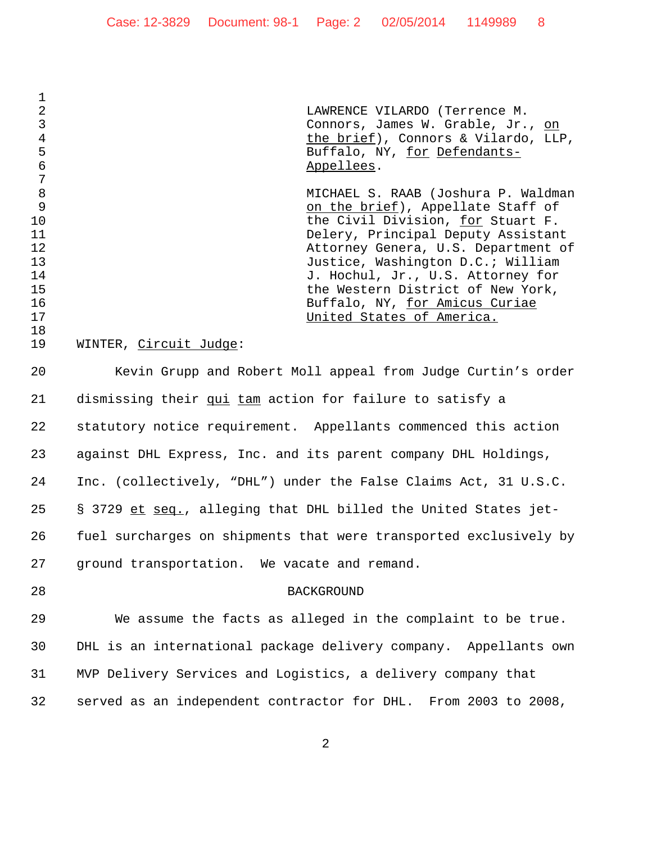LAWRENCE VILARDO (Terrence M. Connors, James W. Grable, Jr., on the brief), Connors & Vilardo, LLP, 5 Buffalo, NY, for Defendants-**Appellees**.

 MICHAEL S. RAAB (Joshura P. Waldman on the brief), Appellate Staff of the Civil Division, for Stuart F. Delery, Principal Deputy Assistant Attorney Genera, U.S. Department of Justice, Washington D.C.; William 14 J. Hochul, Jr., U.S. Attorney for the Western District of New York, **Buffalo, NY, <u>for Amicus Curiae</u>** United States of America.

## WINTER, Circuit Judge:

 Kevin Grupp and Robert Moll appeal from Judge Curtin's order 21 dismissing their qui tam action for failure to satisfy a statutory notice requirement. Appellants commenced this action against DHL Express, Inc. and its parent company DHL Holdings, Inc. (collectively, "DHL") under the False Claims Act, 31 U.S.C. § 3729 et seq., alleging that DHL billed the United States jet- fuel surcharges on shipments that were transported exclusively by ground transportation. We vacate and remand.

 $\frac{1}{2}$ 

 $\begin{array}{c} 7 \\ 8 \end{array}$ 

## BACKGROUND

 We assume the facts as alleged in the complaint to be true. DHL is an international package delivery company. Appellants own MVP Delivery Services and Logistics, a delivery company that served as an independent contractor for DHL. From 2003 to 2008,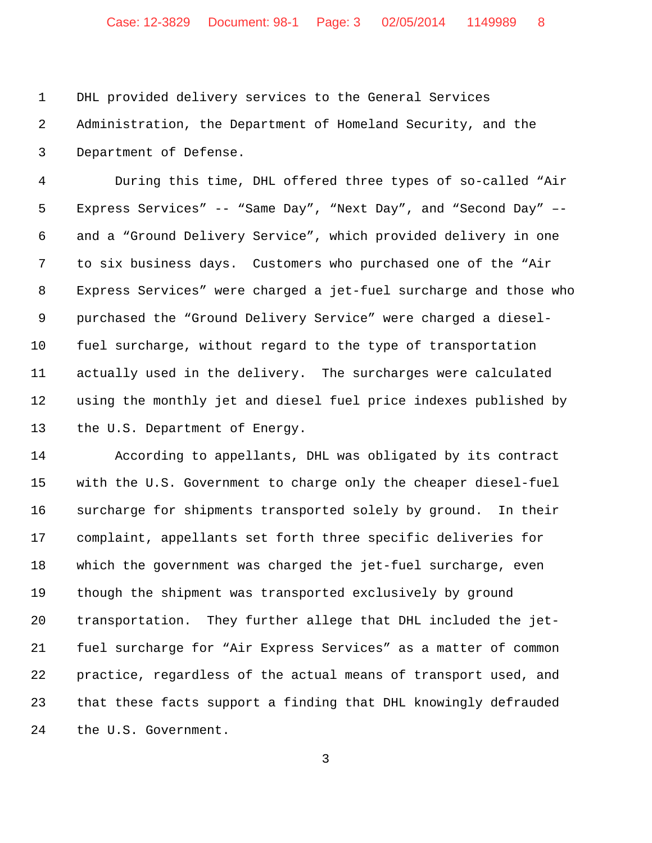DHL provided delivery services to the General Services Administration, the Department of Homeland Security, and the Department of Defense.

 During this time, DHL offered three types of so-called "Air Express Services" -- "Same Day", "Next Day", and "Second Day" –- and a "Ground Delivery Service", which provided delivery in one to six business days. Customers who purchased one of the "Air Express Services" were charged a jet-fuel surcharge and those who purchased the "Ground Delivery Service" were charged a diesel- fuel surcharge, without regard to the type of transportation actually used in the delivery. The surcharges were calculated using the monthly jet and diesel fuel price indexes published by the U.S. Department of Energy.

 According to appellants, DHL was obligated by its contract with the U.S. Government to charge only the cheaper diesel-fuel surcharge for shipments transported solely by ground. In their complaint, appellants set forth three specific deliveries for which the government was charged the jet-fuel surcharge, even though the shipment was transported exclusively by ground transportation. They further allege that DHL included the jet- fuel surcharge for "Air Express Services" as a matter of common practice, regardless of the actual means of transport used, and that these facts support a finding that DHL knowingly defrauded the U.S. Government.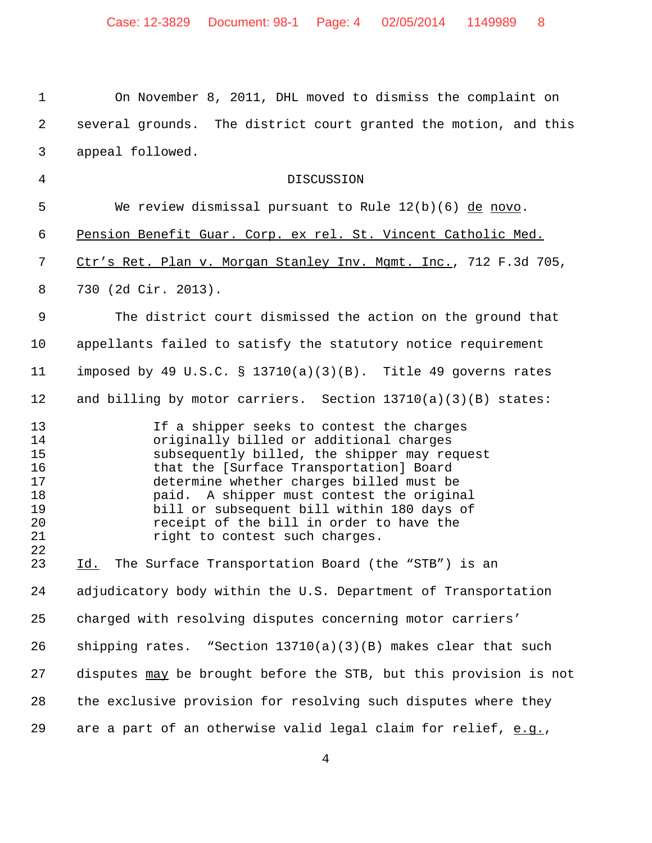On November 8, 2011, DHL moved to dismiss the complaint on several grounds. The district court granted the motion, and this appeal followed. DISCUSSION We review dismissal pursuant to Rule 12(b)(6) de novo. Pension Benefit Guar. Corp. ex rel. St. Vincent Catholic Med. 7 Ctr's Ret. Plan v. Morgan Stanley Inv. Mgmt. Inc., 712 F.3d 705, 730 (2d Cir. 2013). The district court dismissed the action on the ground that appellants failed to satisfy the statutory notice requirement imposed by 49 U.S.C. § 13710(a)(3)(B). Title 49 governs rates and billing by motor carriers. Section 13710(a)(3)(B) states: If a shipper seeks to contest the charges originally billed or additional charges 15 subsequently billed, the shipper may request<br>16 that the [Surface Transportation] Board 16 that the [Surface Transportation] Board<br>17 determine whether charges billed must be determine whether charges billed must be paid. A shipper must contest the original bill or subsequent bill within 180 days of receipt of the bill in order to have the 21 right to contest such charges. Id. The Surface Transportation Board (the "STB") is an adjudicatory body within the U.S. Department of Transportation charged with resolving disputes concerning motor carriers' shipping rates. "Section 13710(a)(3)(B) makes clear that such disputes may be brought before the STB, but this provision is not the exclusive provision for resolving such disputes where they are a part of an otherwise valid legal claim for relief, e.g.,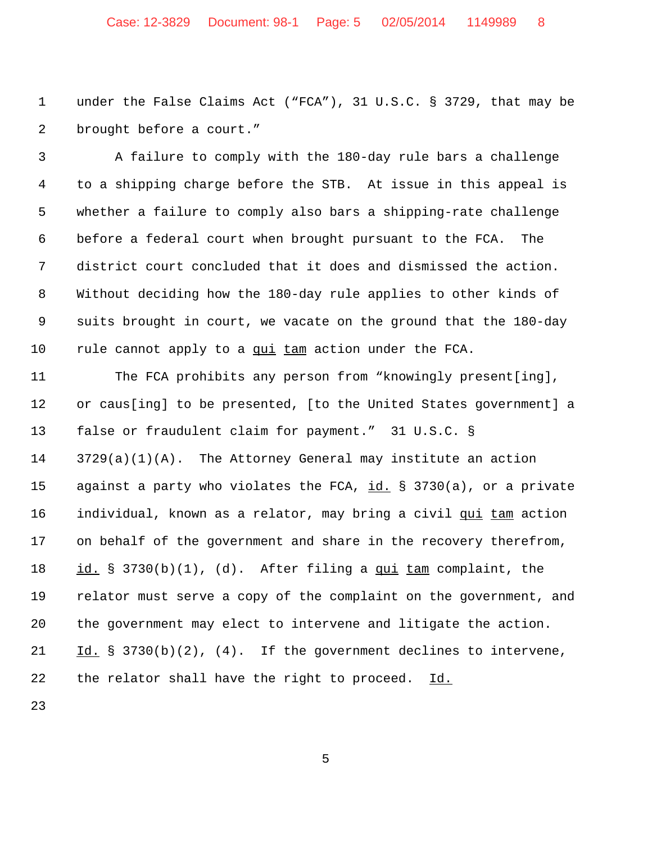## Case: 12-3829 Document: 98-1 Page: 5 02/05/2014 1149989 8

 under the False Claims Act ("FCA"), 31 U.S.C. § 3729, that may be brought before a court."

3 A failure to comply with the 180-day rule bars a challenge to a shipping charge before the STB. At issue in this appeal is whether a failure to comply also bars a shipping-rate challenge before a federal court when brought pursuant to the FCA. The district court concluded that it does and dismissed the action. Without deciding how the 180-day rule applies to other kinds of suits brought in court, we vacate on the ground that the 180-day rule cannot apply to a qui tam action under the FCA.

 The FCA prohibits any person from "knowingly present[ing], or caus[ing] to be presented, [to the United States government] a false or fraudulent claim for payment." 31 U.S.C. § 3729(a)(1)(A). The Attorney General may institute an action against a party who violates the FCA, id. § 3730(a), or a private 16 individual, known as a relator, may bring a civil qui tam action on behalf of the government and share in the recovery therefrom, id. § 3730(b)(1), (d). After filing a qui tam complaint, the relator must serve a copy of the complaint on the government, and the government may elect to intervene and litigate the action. Id. § 3730(b)(2), (4). If the government declines to intervene, 22 the relator shall have the right to proceed. Id.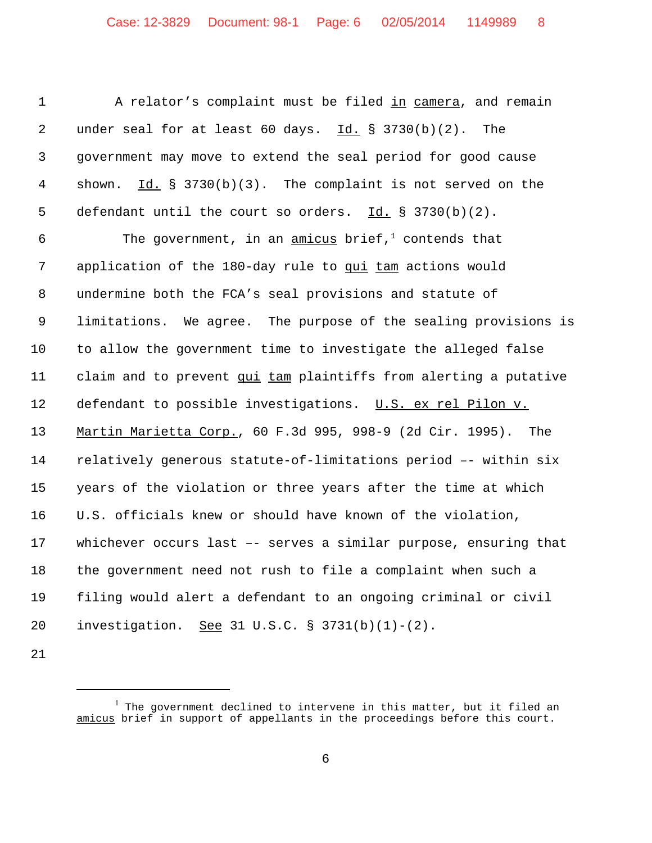A relator's complaint must be filed in camera, and remain 2 under seal for at least 60 days. Id. § 3730(b)(2). The government may move to extend the seal period for good cause shown. Id. § 3730(b)(3). The complaint is not served on the defendant until the court so orders. Id. § 3730(b)(2).

6 The government, in an amicus brief, $\frac{1}{2}$  contends that application of the 180-day rule to qui tam actions would undermine both the FCA's seal provisions and statute of limitations. We agree. The purpose of the sealing provisions is to allow the government time to investigate the alleged false claim and to prevent qui tam plaintiffs from alerting a putative 12 defendant to possible investigations. U.S. ex rel Pilon v. Martin Marietta Corp., 60 F.3d 995, 998-9 (2d Cir. 1995). The relatively generous statute-of-limitations period –- within six years of the violation or three years after the time at which U.S. officials knew or should have known of the violation, whichever occurs last –- serves a similar purpose, ensuring that the government need not rush to file a complaint when such a filing would alert a defendant to an ongoing criminal or civil investigation. See 31 U.S.C. § 3731(b)(1)-(2).

 $^{\rm l}$  The government declined to intervene in this matter, but it filed an amicus brief in support of appellants in the proceedings before this court.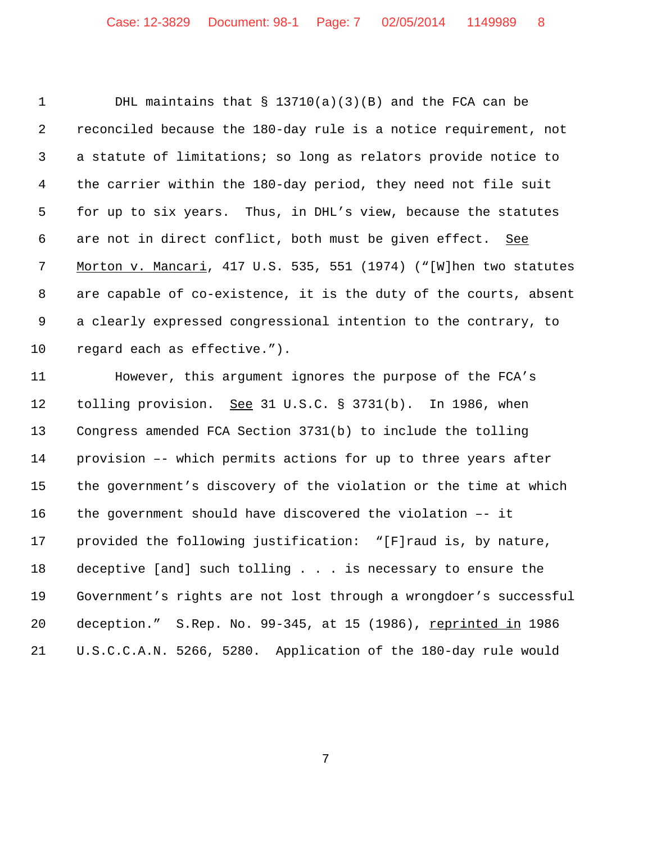DHL maintains that § 13710(a)(3)(B) and the FCA can be reconciled because the 180-day rule is a notice requirement, not a statute of limitations; so long as relators provide notice to the carrier within the 180-day period, they need not file suit for up to six years. Thus, in DHL's view, because the statutes 6 are not in direct conflict, both must be given effect. See 7 Morton v. Mancari, 417 U.S. 535, 551 (1974) ("[W]hen two statutes are capable of co-existence, it is the duty of the courts, absent a clearly expressed congressional intention to the contrary, to regard each as effective.").

 However, this argument ignores the purpose of the FCA's 12 tolling provision. See 31 U.S.C. § 3731(b). In 1986, when Congress amended FCA Section 3731(b) to include the tolling provision –- which permits actions for up to three years after the government's discovery of the violation or the time at which the government should have discovered the violation –- it provided the following justification: "[F]raud is, by nature, deceptive [and] such tolling . . . is necessary to ensure the Government's rights are not lost through a wrongdoer's successful deception." S.Rep. No. 99-345, at 15 (1986), reprinted in 1986 U.S.C.C.A.N. 5266, 5280. Application of the 180-day rule would